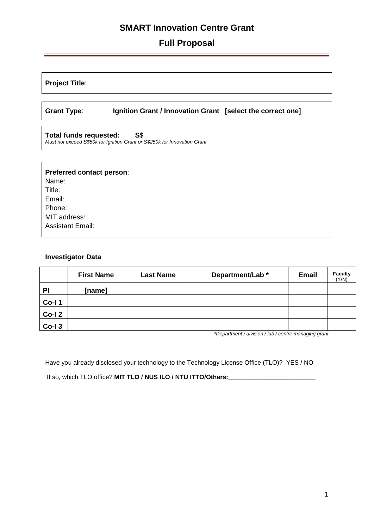# **Full Proposal**

**Project Title**:

**Grant Type**: **Ignition Grant / Innovation Grant [select the correct one]**

**Total funds requested: S**\$ *Must not exceed S\$50k for Ignition Grant or S\$250k for Innovation Grant*

| Preferred contact person:<br>Name: |  |
|------------------------------------|--|
| Title:                             |  |
| Email:                             |  |
| Phone:                             |  |
| MIT address:                       |  |
| <b>Assistant Email:</b>            |  |
|                                    |  |

#### **Investigator Data**

|                   | <b>First Name</b> | <b>Last Name</b> | Department/Lab * | <b>Email</b> | <b>Faculty</b><br>(Y/N) |
|-------------------|-------------------|------------------|------------------|--------------|-------------------------|
| PI                | [name]            |                  |                  |              |                         |
| <b>Co-I1</b>      |                   |                  |                  |              |                         |
| Co-I <sub>2</sub> |                   |                  |                  |              |                         |
| $Co-I3$           |                   |                  |                  |              |                         |

*\*Department / division / lab / centre managing grant* 

Have you already disclosed your technology to the Technology License Office (TLO)? YES / NO

If so, which TLO office? **MIT TLO / NUS ILO / NTU ITTO/Others:\_\_\_\_\_\_\_\_\_\_\_\_\_\_\_\_\_\_\_\_\_\_\_\_\_**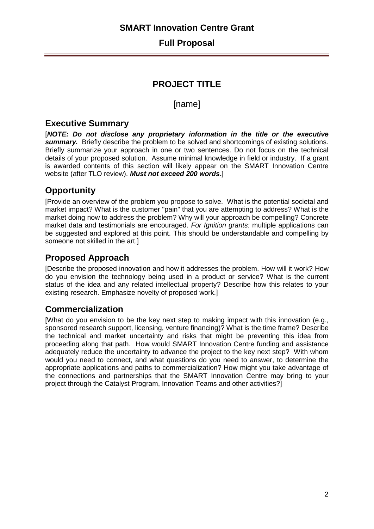### **Full Proposal**

# **PROJECT TITLE**

### [name]

### **Executive Summary**

[*NOTE: Do not disclose any proprietary information in the title or the executive*  **summary.** Briefly describe the problem to be solved and shortcomings of existing solutions. Briefly summarize your approach in one or two sentences. Do not focus on the technical details of your proposed solution. Assume minimal knowledge in field or industry. If a grant is awarded contents of this section will likely appear on the SMART Innovation Centre website (after TLO review). *Must not exceed 200 words***.**]

# **Opportunity**

[Provide an overview of the problem you propose to solve. What is the potential societal and market impact? What is the customer "pain" that you are attempting to address? What is the market doing now to address the problem? Why will your approach be compelling? Concrete market data and testimonials are encouraged. *For Ignition grants:* multiple applications can be suggested and explored at this point. This should be understandable and compelling by someone not skilled in the art.]

## **Proposed Approach**

[Describe the proposed innovation and how it addresses the problem. How will it work? How do you envision the technology being used in a product or service? What is the current status of the idea and any related intellectual property? Describe how this relates to your existing research. Emphasize novelty of proposed work.]

## **Commercialization**

[What do you envision to be the key next step to making impact with this innovation (e.g., sponsored research support, licensing, venture financing)? What is the time frame? Describe the technical and market uncertainty and risks that might be preventing this idea from proceeding along that path. How would SMART Innovation Centre funding and assistance adequately reduce the uncertainty to advance the project to the key next step? With whom would you need to connect, and what questions do you need to answer, to determine the appropriate applications and paths to commercialization? How might you take advantage of the connections and partnerships that the SMART Innovation Centre may bring to your project through the Catalyst Program, Innovation Teams and other activities?]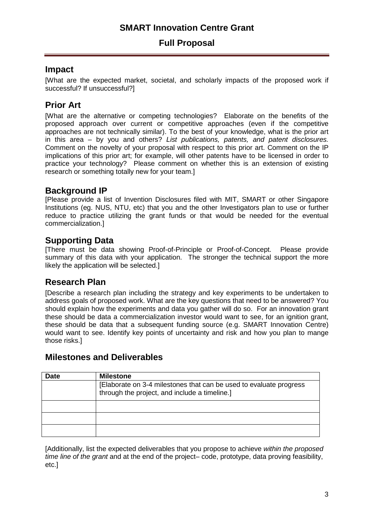# **Full Proposal**

## **Impact**

[What are the expected market, societal, and scholarly impacts of the proposed work if successful? If unsuccessful?]

# **Prior Art**

[What are the alternative or competing technologies? Elaborate on the benefits of the proposed approach over current or competitive approaches (even if the competitive approaches are not technically similar). To the best of your knowledge, what is the prior art in this area – by you and others? *List publications, patents, and patent disclosures.*  Comment on the novelty of your proposal with respect to this prior art. Comment on the IP implications of this prior art; for example, will other patents have to be licensed in order to practice your technology? Please comment on whether this is an extension of existing research or something totally new for your team.]

## **Background IP**

[Please provide a list of Invention Disclosures filed with MIT, SMART or other Singapore Institutions (eg. NUS, NTU, etc) that you and the other Investigators plan to use or further reduce to practice utilizing the grant funds or that would be needed for the eventual commercialization.]

## **Supporting Data**

[There must be data showing Proof-of-Principle or Proof-of-Concept. Please provide summary of this data with your application. The stronger the technical support the more likely the application will be selected.]

# **Research Plan**

[Describe a research plan including the strategy and key experiments to be undertaken to address goals of proposed work. What are the key questions that need to be answered? You should explain how the experiments and data you gather will do so. For an innovation grant these should be data a commercialization investor would want to see, for an ignition grant, these should be data that a subsequent funding source (e.g. SMART Innovation Centre) would want to see. Identify key points of uncertainty and risk and how you plan to mange those risks.]

### **Milestones and Deliverables**

| <b>Date</b> | <b>Milestone</b>                                                                                                    |
|-------------|---------------------------------------------------------------------------------------------------------------------|
|             | [Elaborate on 3-4 milestones that can be used to evaluate progress<br>through the project, and include a timeline.] |
|             |                                                                                                                     |
|             |                                                                                                                     |
|             |                                                                                                                     |

[Additionally, list the expected deliverables that you propose to achieve *within the proposed time line of the grant* and at the end of the project– code, prototype, data proving feasibility, etc.]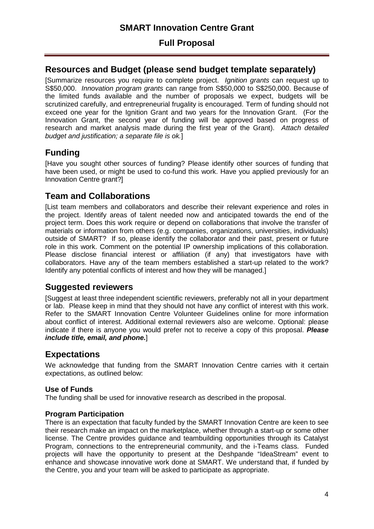## **Full Proposal**

# **Resources and Budget (please send budget template separately)**

[Summarize resources you require to complete project. *Ignition grants* can request up to S\$50,000. *Innovation program grants* can range from S\$50,000 to S\$250,000. Because of the limited funds available and the number of proposals we expect, budgets will be scrutinized carefully, and entrepreneurial frugality is encouraged. Term of funding should not exceed one year for the Ignition Grant and two years for the Innovation Grant. (For the Innovation Grant, the second year of funding will be approved based on progress of research and market analysis made during the first year of the Grant). *Attach detailed budget and justification; a separate file is ok.*]

# **Funding**

[Have you sought other sources of funding? Please identify other sources of funding that have been used, or might be used to co-fund this work. Have you applied previously for an Innovation Centre grant?]

# **Team and Collaborations**

[List team members and collaborators and describe their relevant experience and roles in the project. Identify areas of talent needed now and anticipated towards the end of the project term. Does this work require or depend on collaborations that involve the transfer of materials or information from others (e.g. companies, organizations, universities, individuals) outside of SMART? If so, please identify the collaborator and their past, present or future role in this work. Comment on the potential IP ownership implications of this collaboration. Please disclose financial interest or affiliation (if any) that investigators have with collaborators. Have any of the team members established a start-up related to the work? Identify any potential conflicts of interest and how they will be managed.]

# **Suggested reviewers**

[Suggest at least three independent scientific reviewers, preferably not all in your department or lab. Please keep in mind that they should not have any conflict of interest with this work. Refer to the SMART Innovation Centre Volunteer Guidelines online for more information about conflict of interest. Additional external reviewers also are welcome. Optional: please indicate if there is anyone you would prefer not to receive a copy of this proposal. *Please include title, email, and phone.*]

## **Expectations**

We acknowledge that funding from the SMART Innovation Centre carries with it certain expectations, as outlined below:

### **Use of Funds**

The funding shall be used for innovative research as described in the proposal.

### **Program Participation**

There is an expectation that faculty funded by the SMART Innovation Centre are keen to see their research make an impact on the marketplace, whether through a start-up or some other license. The Centre provides guidance and teambuilding opportunities through its Catalyst Program, connections to the entrepreneurial community, and the i-Teams class. Funded projects will have the opportunity to present at the Deshpande "IdeaStream" event to enhance and showcase innovative work done at SMART. We understand that, if funded by the Centre, you and your team will be asked to participate as appropriate.